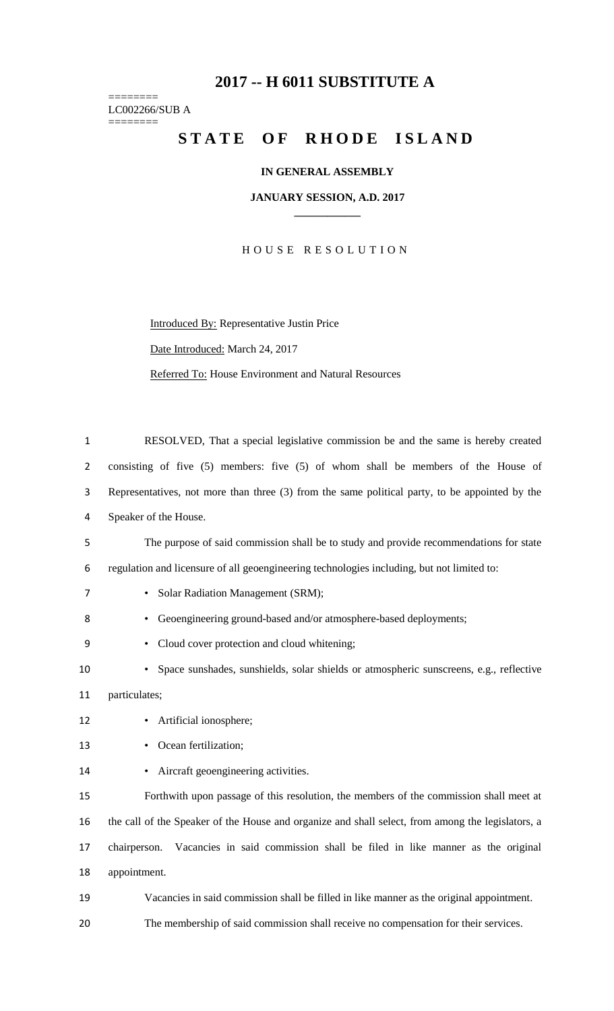# **-- H 6011 SUBSTITUTE A**

======== LC002266/SUB A ========

# STATE OF RHODE ISLAND

## **IN GENERAL ASSEMBLY**

#### **JANUARY SESSION, A.D. 2017 \_\_\_\_\_\_\_\_\_\_\_\_**

H O U S E R E S O L U T I O N

Introduced By: Representative Justin Price Date Introduced: March 24, 2017 Referred To: House Environment and Natural Resources

| $\mathbf{1}$   | RESOLVED, That a special legislative commission be and the same is hereby created                 |
|----------------|---------------------------------------------------------------------------------------------------|
| $\overline{2}$ | consisting of five (5) members: five (5) of whom shall be members of the House of                 |
| 3              | Representatives, not more than three (3) from the same political party, to be appointed by the    |
| 4              | Speaker of the House.                                                                             |
| 5              | The purpose of said commission shall be to study and provide recommendations for state            |
| 6              | regulation and licensure of all geoengineering technologies including, but not limited to:        |
| 7              | Solar Radiation Management (SRM);<br>$\bullet$                                                    |
| 8              | Geoengineering ground-based and/or atmosphere-based deployments;                                  |
| 9              | Cloud cover protection and cloud whitening;                                                       |
| 10             | Space sunshades, sunshields, solar shields or atmospheric sunscreens, e.g., reflective            |
| 11             | particulates;                                                                                     |
| 12             | Artificial ionosphere;                                                                            |
| 13             | Ocean fertilization;                                                                              |
| 14             | Aircraft geoengineering activities.<br>$\bullet$                                                  |
| 15             | Forthwith upon passage of this resolution, the members of the commission shall meet at            |
| 16             | the call of the Speaker of the House and organize and shall select, from among the legislators, a |
| 17             | chairperson. Vacancies in said commission shall be filed in like manner as the original           |
| 18             | appointment.                                                                                      |
| 19             | Vacancies in said commission shall be filled in like manner as the original appointment.          |
| 20             | The membership of said commission shall receive no compensation for their services.               |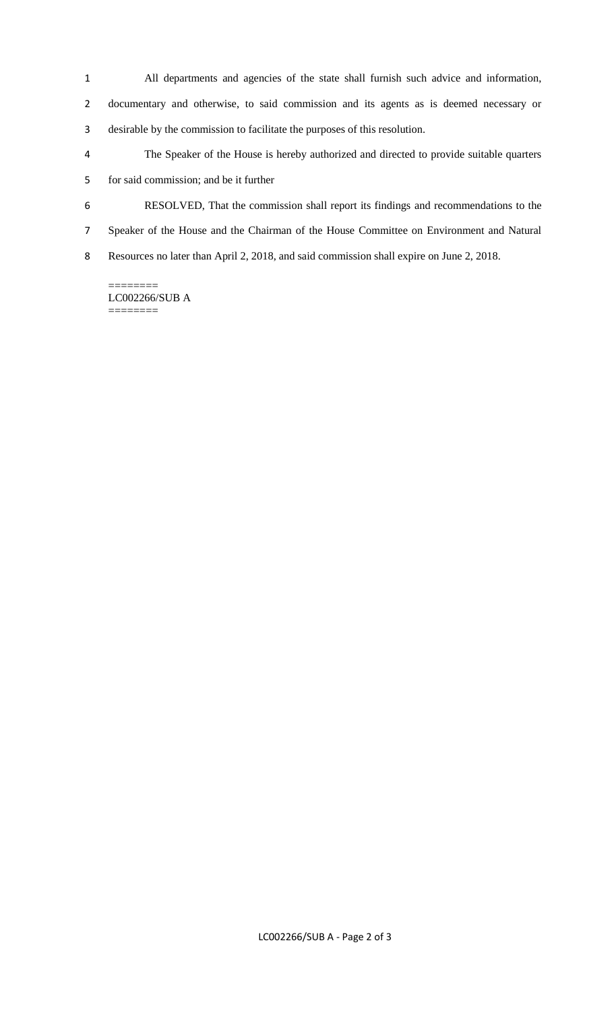- All departments and agencies of the state shall furnish such advice and information,
- documentary and otherwise, to said commission and its agents as is deemed necessary or desirable by the commission to facilitate the purposes of this resolution.
- The Speaker of the House is hereby authorized and directed to provide suitable quarters for said commission; and be it further
- RESOLVED, That the commission shall report its findings and recommendations to the
- Speaker of the House and the Chairman of the House Committee on Environment and Natural
- Resources no later than April 2, 2018, and said commission shall expire on June 2, 2018.

======== LC002266/SUB A ========